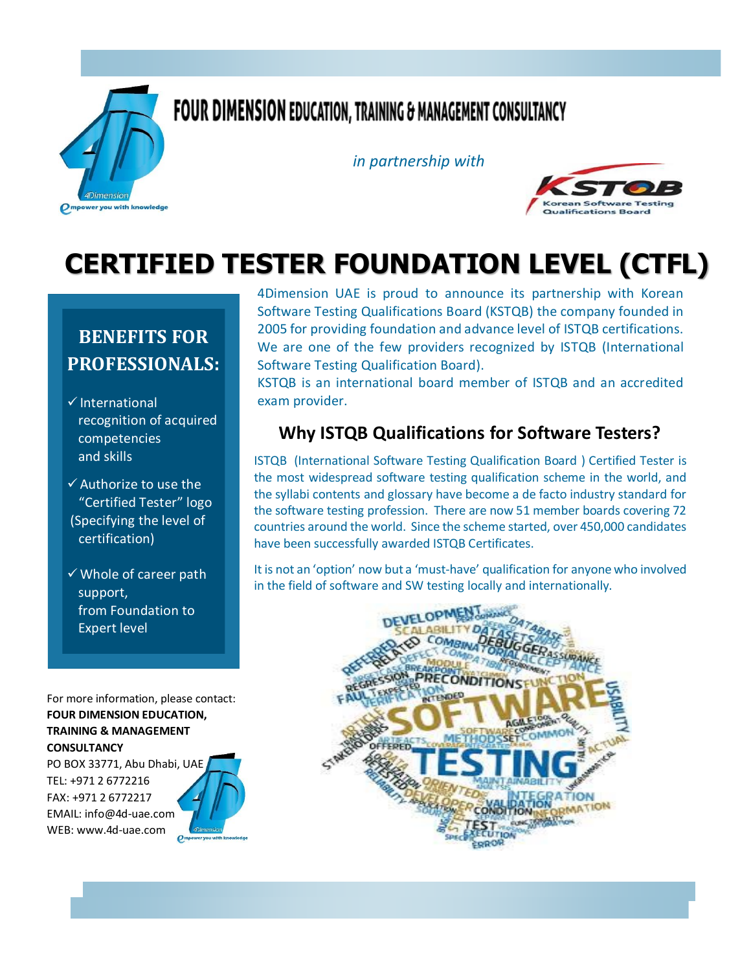

## **FOUR DIMENSION EDUCATION, TRAINING & MANAGEMENT CONSULTANCY**

*in partnership with*



# **CERTIFIED TESTER FOUNDATION LEVEL (CTFL)**

## **BENEFITS FOR PROFESSIONALS:**

- $\checkmark$  International recognition of acquired competencies and skills
- $\checkmark$  Authorize to use the "Certified Tester" logo (Specifying the level of certification)
- $\checkmark$  Whole of career path support, from Foundation to Expert level

For more information, please contact: **FOUR DIMENSION EDUCATION, TRAINING & MANAGEMENT CONSULTANCY**

PO BOX 33771, Abu Dhabi, UAE TEL: +971 2 6772216 FAX: +971 2 6772217 EMAIL: info@4d-uae.com WEB: www.4d-uae.com

4Dimension UAE is proud to announce its partnership with Korean Software Testing Qualifications Board (KSTQB) the company founded in 2005 for providing foundation and advance level of ISTQB certifications. We are one of the few providers recognized by ISTQB (International Software Testing Qualification Board).

KSTQB is an international board member of ISTQB and an accredited exam provider.

### **Why ISTQB Qualifications for Software Testers?**

ISTQB (International Software Testing Qualification Board ) Certified Tester is the most widespread software testing qualification scheme in the world, and the syllabi contents and glossary have become a de facto industry standard for the software testing profession. There are now 51 member boards covering 72 countries around the world. Since the scheme started, over 450,000 candidates have been successfully awarded ISTQB Certificates.

It is not an 'option' now but a 'must-have' qualification for anyone who involved in the field of software and SW testing locally and internationally.

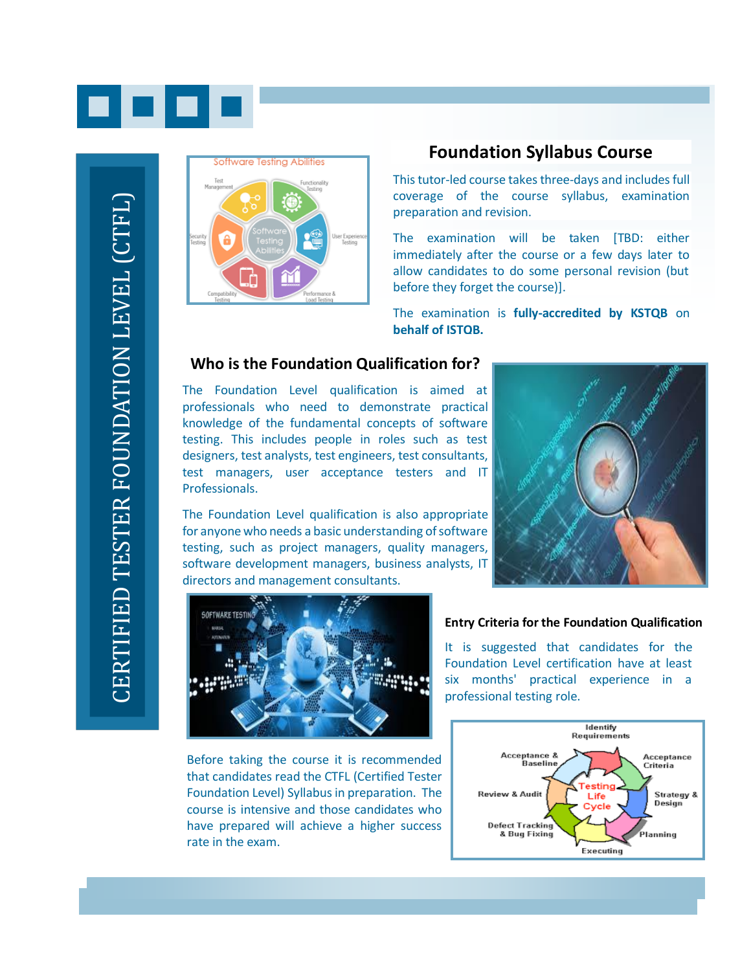



#### **Foundation Syllabus Course**

This tutor-led course takes three-days and includes full coverage of the course syllabus, examination preparation and revision.

The examination will be taken [TBD: either immediately after the course or a few days later to allow candidates to do some personal revision (but before they forget the course)].

The examination is **fully-accredited by KSTQB** on **behalf of ISTQB.**

#### **Who is the Foundation Qualification for?**

The Foundation Level qualification is aimed at professionals who need to demonstrate practical knowledge of the fundamental concepts of software testing. This includes people in roles such as test designers, test analysts, test engineers, test consultants, test managers, user acceptance testers and IT Professionals.

The Foundation Level qualification is also appropriate for anyone who needs a basic understanding of software testing, such as project managers, quality managers, software development managers, business analysts, IT directors and management consultants.





Before taking the course it is recommended that candidates read the CTFL (Certified Tester Foundation Level) Syllabus in preparation. The course is intensive and those candidates who have prepared will achieve a higher success rate in the exam.

#### **Entry Criteria for the Foundation Qualification**

It is suggested that candidates for the Foundation Level certification have at least six months' practical experience in a professional testing role.